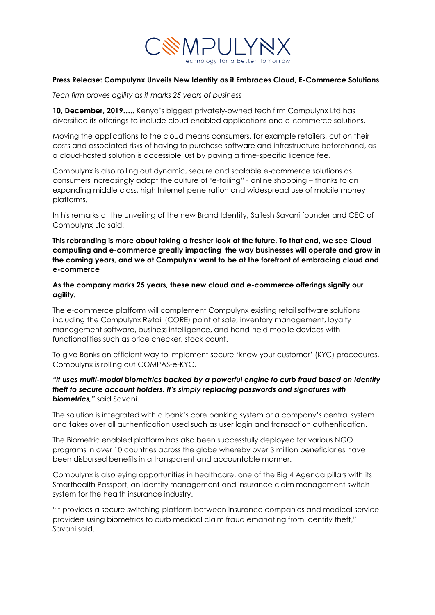

## **Press Release: Compulynx Unveils New Identity as it Embraces Cloud, E-Commerce Solutions**

*Tech firm proves agility as it marks 25 years of business*

**10, December, 2019…..** Kenya's biggest privately-owned tech firm Compulynx Ltd has diversified its offerings to include cloud enabled applications and e-commerce solutions.

Moving the applications to the cloud means consumers, for example retailers, cut on their costs and associated risks of having to purchase software and infrastructure beforehand, as a cloud-hosted solution is accessible just by paying a time-specific licence fee.

Compulynx is also rolling out dynamic, secure and scalable e-commerce solutions as consumers increasingly adopt the culture of 'e-tailing" - online shopping – thanks to an expanding middle class, high Internet penetration and widespread use of mobile money platforms.

In his remarks at the unveiling of the new Brand Identity, Sailesh Savani founder and CEO of Compulynx Ltd said:

**This rebranding is more about taking a fresher look at the future. To that end, we see Cloud computing and e-commerce greatly impacting the way businesses will operate and grow in the coming years, and we at Compulynx want to be at the forefront of embracing cloud and e-commerce**

**As the company marks 25 years, these new cloud and e-commerce offerings signify our agility***.*

The e-commerce platform will complement Compulynx existing retail software solutions including the Compulynx Retail (CORE) point of sale, inventory management, loyalty management software, business intelligence, and hand-held mobile devices with functionalities such as price checker, stock count.

To give Banks an efficient way to implement secure 'know your customer' (KYC) procedures, Compulynx is rolling out COMPAS-e-KYC.

## *"It uses multi-modal biometrics backed by a powerful engine to curb fraud based on Identity theft to secure account holders. It's simply replacing passwords and signatures with biometrics,"* said Savani.

The solution is integrated with a bank's core banking system or a company's central system and takes over all authentication used such as user login and transaction authentication.

The Biometric enabled platform has also been successfully deployed for various NGO programs in over 10 countries across the globe whereby over 3 million beneficiaries have been disbursed benefits in a transparent and accountable manner.

Compulynx is also eying opportunities in healthcare, one of the Big 4 Agenda pillars with its Smarthealth Passport, an identity management and insurance claim management switch system for the health insurance industry.

"It provides a secure switching platform between insurance companies and medical service providers using biometrics to curb medical claim fraud emanating from Identity theft," Savani said.